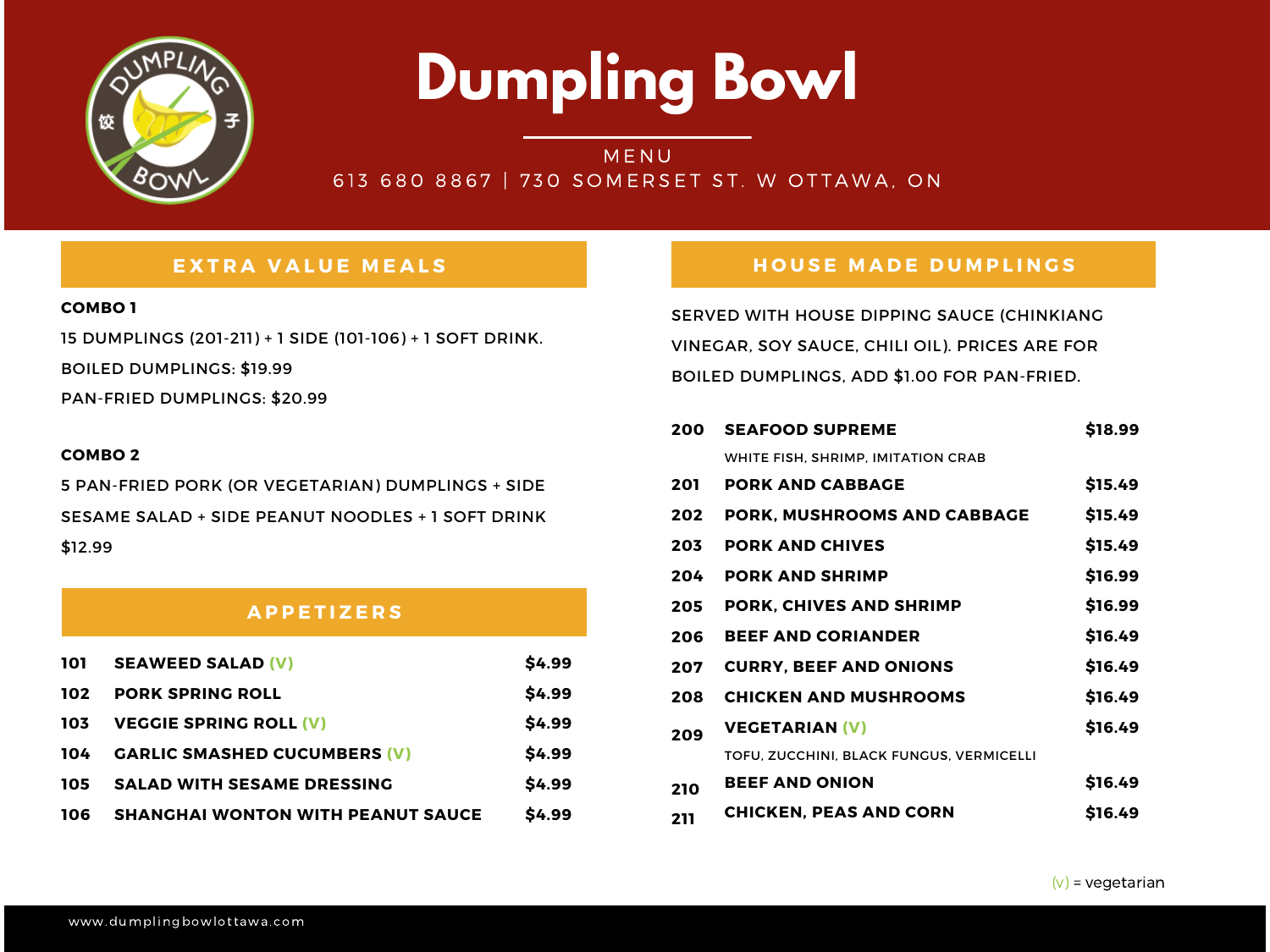### **A P P E T I Z E R S**



# **Dumpling Bowl**

# **MENU** 613 680 8867 | 730 SOMERSET ST. W OTTAWA, ON



## EXTRA VALUE MEALS NAMEL HOUSE MADE DUMPLINGS

#### **COMBO 1**

15 DUMPLINGS (201-211) + 1 SIDE (101-106) + 1 SOFT DRINK.

BOILED DUMPLINGS: \$19.99

PAN-FRIED DUMPLINGS: \$20.99

SERVED WITH HOUSE DIPPING SAUCE (CHINKIANG VINEGAR, SOY SAUCE, CHILI OIL). PRICES ARE FOR BOILED DUMPLINGS, ADD \$1.00 FOR PAN-FRIED.

| 101 | <b>SEAWEED SALAD (V)</b>                 | \$4.99       |
|-----|------------------------------------------|--------------|
| 102 | <b>PORK SPRING ROLL</b>                  | \$4.99       |
| 103 | <b>VEGGIE SPRING ROLL (V)</b>            | \$4.99       |
| 104 | <b>GARLIC SMASHED CUCUMBERS (V)</b>      | \$4.99       |
| 105 | <b>SALAD WITH SESAME DRESSING</b>        | \$4.99       |
| 106 | <b>SHANGHAI WONTON WITH PEANUT SAUCE</b> | <b>S4.99</b> |

| 200 | <b>SEAFOOD SUPREME</b>                    | \$18.99 |
|-----|-------------------------------------------|---------|
|     | <b>WHITE FISH, SHRIMP, IMITATION CRAB</b> |         |
| 201 | <b>PORK AND CABBAGE</b>                   | \$15.49 |
| 202 | <b>PORK, MUSHROOMS AND CABBAGE</b>        | \$15.49 |
| 203 | <b>PORK AND CHIVES</b>                    | \$15.49 |
| 204 | <b>PORK AND SHRIMP</b>                    | \$16.99 |
| 205 | <b>PORK, CHIVES AND SHRIMP</b>            | \$16.99 |
| 206 | <b>BEEF AND CORIANDER</b>                 | \$16.49 |
| 207 | <b>CURRY, BEEF AND ONIONS</b>             | \$16.49 |
| 208 | <b>CHICKEN AND MUSHROOMS</b>              | \$16.49 |
| 209 | <b>VEGETARIAN (V)</b>                     | \$16.49 |
|     | TOFU, ZUCCHINI, BLACK FUNGUS, VERMICELLI  |         |
| 210 | <b>BEEF AND ONION</b>                     | \$16.49 |
| 211 | <b>CHICKEN, PEAS AND CORN</b>             | \$16.49 |

#### **COMBO 2**

5 PAN-FRIED PORK (OR VEGETARIAN) DUMPLINGS + SIDE SESAME SALAD + SIDE PEANUT NOODLES + 1 SOFT DRINK \$12.99